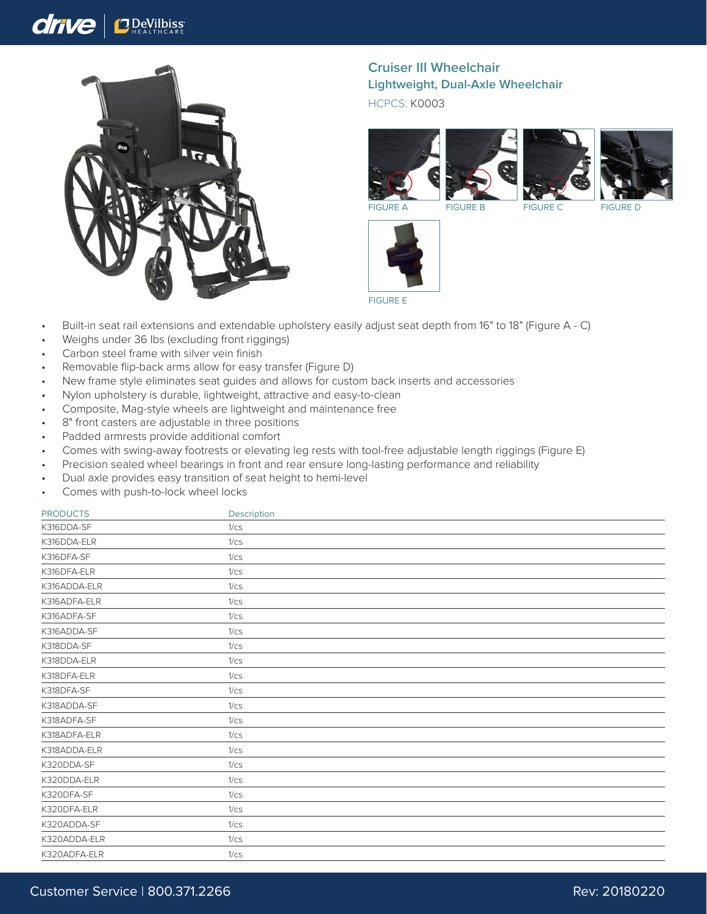## drive **J** DeVilbiss



**Cruiser III Wheelchair Lightweight, Dual-Axle Wheelchair** HCPCS: K0003







FIGURE A FIGURE B FIGURE C FIGURE D



FIGURE E

- Built-in seat rail extensions and extendable upholstery easily adjust seat depth from 16" to 18" (Figure A C)
- Weighs under 36 lbs (excluding front riggings)
- Carbon steel frame with silver vein finish
- Removable flip-back arms allow for easy transfer (Figure D)
- New frame style eliminates seat guides and allows for custom back inserts and accessories
- Nylon upholstery is durable, lightweight, attractive and easy-to-clean
- Composite, Mag-style wheels are lightweight and maintenance free
- 8" front casters are adjustable in three positions
- Padded armrests provide additional comfort
- Comes with swing-away footrests or elevating leg rests with tool-free adjustable length riggings (Figure E)
- Precision sealed wheel bearings in front and rear ensure long-lasting performance and reliability
- Dual axle provides easy transition of seat height to hemi-level
- Comes with push-to-lock wheel locks

| <b>PRODUCTS</b> | Description |  |
|-----------------|-------------|--|
| K316DDA-SF      | 1/cs        |  |
| K316DDA-ELR     | 1/cs        |  |
| K316DFA-SF      | 1/cs        |  |
| K316DFA-ELR     | 1/cs        |  |
| K316ADDA-ELR    | 1/cs        |  |
| K316ADFA-ELR    | 1/cs        |  |
| K316ADFA-SF     | 1/cs        |  |
| K316ADDA-SF     | 1/cs        |  |
| K318DDA-SF      | 1/cs        |  |
| K318DDA-ELR     | 1/cs        |  |
| K318DFA-ELR     | 1/cs        |  |
| K318DFA-SF      | 1/cs        |  |
| K318ADDA-SF     | 1/cs        |  |
| K318ADFA-SF     | 1/cs        |  |
| K318ADFA-ELR    | 1/cs        |  |
| K318ADDA-ELR    | 1/cs        |  |
| K320DDA-SF      | 1/cs        |  |
| K320DDA-ELR     | 1/cs        |  |
| K320DFA-SF      | 1/cs        |  |
| K320DFA-ELR     | 1/cs        |  |
| K320ADDA-SF     | 1/cs        |  |
| K320ADDA-ELR    | 1/cs        |  |
| K320ADFA-ELR    | 1/cs        |  |